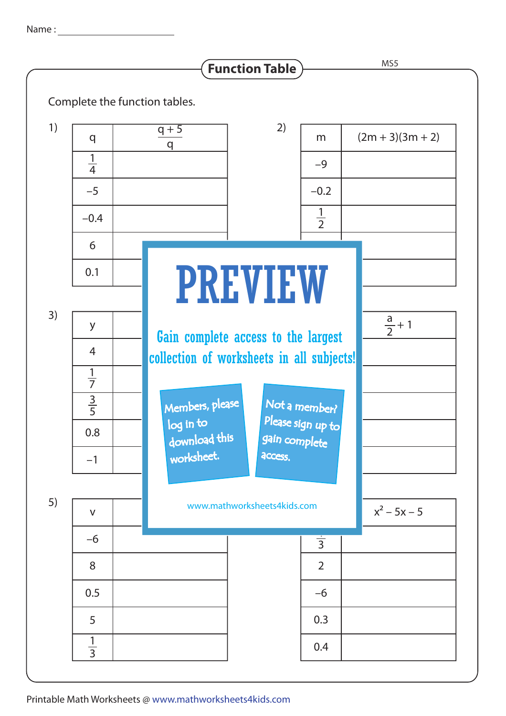